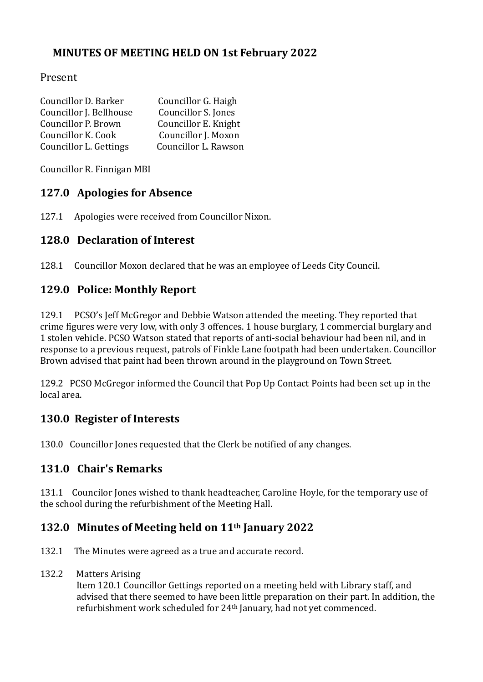## **MINUTES OF MEETING HELD ON 1st February 2022**

#### Present

| Councillor D. Barker    | Councillor G. Haigh  |
|-------------------------|----------------------|
| Councillor J. Bellhouse | Councillor S. Jones  |
| Councillor P. Brown     | Councillor E. Knight |
| Councillor K. Cook      | Councillor J. Moxon  |
| Councillor L. Gettings  | Councillor L. Rawson |

Councillor R. Finnigan MBI

#### **127.0 Apologies for Absence**

127.1 Apologies were received from Councillor Nixon.

### **128.0 Declaration of Interest**

128.1 Councillor Moxon declared that he was an employee of Leeds City Council.

### **129.0 Police: Monthly Report**

129.1 PCSO's Jeff McGregor and Debbie Watson attended the meeting. They reported that crime figures were very low, with only 3 offences. 1 house burglary, 1 commercial burglary and 1 stolen vehicle. PCSO Watson stated that reports of anti-social behaviour had been nil, and in response to a previous request, patrols of Finkle Lane footpath had been undertaken. Councillor Brown advised that paint had been thrown around in the playground on Town Street.

129.2 PCSO McGregor informed the Council that Pop Up Contact Points had been set up in the local area.

### **130.0 Register of Interests**

130.0 Councillor Jones requested that the Clerk be notified of any changes.

### **131.0 Chair's Remarks**

131.1 Councilor Jones wished to thank headteacher, Caroline Hoyle, for the temporary use of the school during the refurbishment of the Meeting Hall.

### **132.0 Minutes of Meeting held on 11th January 2022**

- 132.1 The Minutes were agreed as a true and accurate record.
- 132.2 Matters Arising

 Item 120.1 Councillor Gettings reported on a meeting held with Library staff, and advised that there seemed to have been little preparation on their part. In addition, the refurbishment work scheduled for 24th January, had not yet commenced.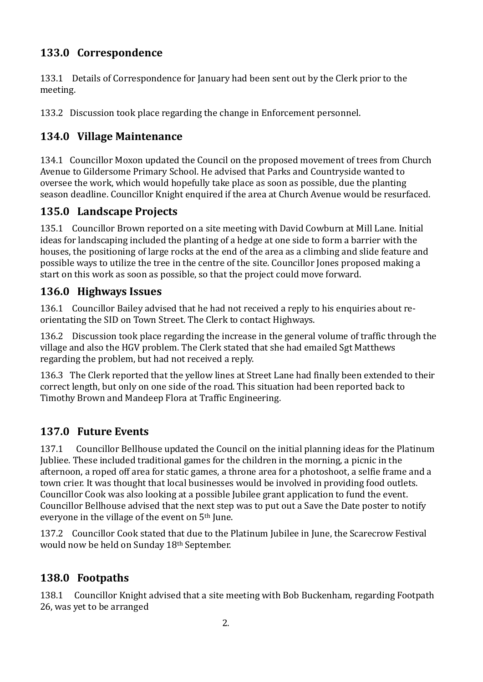# **133.0 Correspondence**

133.1 Details of Correspondence for January had been sent out by the Clerk prior to the meeting.

133.2 Discussion took place regarding the change in Enforcement personnel.

# **134.0 Village Maintenance**

134.1 Councillor Moxon updated the Council on the proposed movement of trees from Church Avenue to Gildersome Primary School. He advised that Parks and Countryside wanted to oversee the work, which would hopefully take place as soon as possible, due the planting season deadline. Councillor Knight enquired if the area at Church Avenue would be resurfaced.

## **135.0 Landscape Projects**

135.1 Councillor Brown reported on a site meeting with David Cowburn at Mill Lane. Initial ideas for landscaping included the planting of a hedge at one side to form a barrier with the houses, the positioning of large rocks at the end of the area as a climbing and slide feature and possible ways to utilize the tree in the centre of the site. Councillor Jones proposed making a start on this work as soon as possible, so that the project could move forward.

## **136.0 Highways Issues**

136.1 Councillor Bailey advised that he had not received a reply to his enquiries about reorientating the SID on Town Street. The Clerk to contact Highways.

136.2 Discussion took place regarding the increase in the general volume of traffic through the village and also the HGV problem. The Clerk stated that she had emailed Sgt Matthews regarding the problem, but had not received a reply.

136.3 The Clerk reported that the yellow lines at Street Lane had finally been extended to their correct length, but only on one side of the road. This situation had been reported back to Timothy Brown and Mandeep Flora at Traffic Engineering.

## **137.0 Future Events**

137.1 Councillor Bellhouse updated the Council on the initial planning ideas for the Platinum Jubliee. These included traditional games for the children in the morning, a picnic in the afternoon, a roped off area for static games, a throne area for a photoshoot, a selfie frame and a town crier. It was thought that local businesses would be involved in providing food outlets. Councillor Cook was also looking at a possible Jubilee grant application to fund the event. Councillor Bellhouse advised that the next step was to put out a Save the Date poster to notify everyone in the village of the event on 5th June.

137.2 Councillor Cook stated that due to the Platinum Jubilee in June, the Scarecrow Festival would now be held on Sunday 18th September.

## **138.0 Footpaths**

138.1 Councillor Knight advised that a site meeting with Bob Buckenham, regarding Footpath 26, was yet to be arranged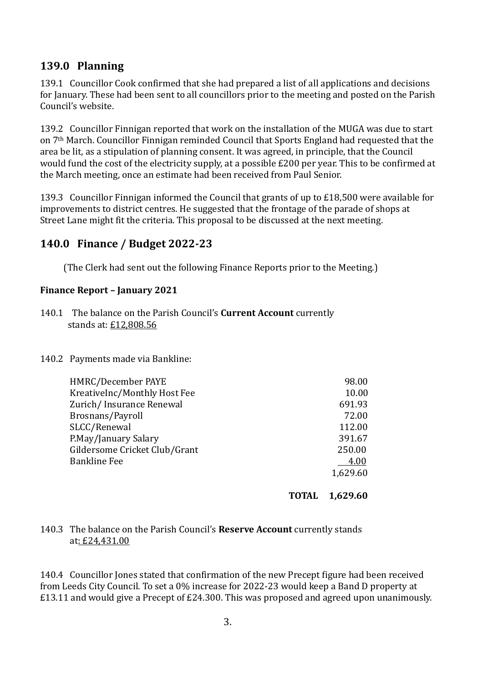#### **139.0 Planning**

139.1 Councillor Cook confirmed that she had prepared a list of all applications and decisions for January. These had been sent to all councillors prior to the meeting and posted on the Parish Council's website.

139.2 Councillor Finnigan reported that work on the installation of the MUGA was due to start on 7th March. Councillor Finnigan reminded Council that Sports England had requested that the area be lit, as a stipulation of planning consent. It was agreed, in principle, that the Council would fund the cost of the electricity supply, at a possible £200 per year. This to be confirmed at the March meeting, once an estimate had been received from Paul Senior.

139.3 Councillor Finnigan informed the Council that grants of up to £18,500 were available for improvements to district centres. He suggested that the frontage of the parade of shops at Street Lane might fit the criteria. This proposal to be discussed at the next meeting.

#### **140.0 Finance / Budget 2022-23**

(The Clerk had sent out the following Finance Reports prior to the Meeting.)

#### **Finance Report – January 2021**

140.1 The balance on the Parish Council's **Current Account** currently stands at: £12,808.56

#### 140.2 Payments made via Bankline:

| HMRC/December PAYE            | 98.00    |
|-------------------------------|----------|
| KreativeInc/Monthly Host Fee  | 10.00    |
| Zurich/Insurance Renewal      | 691.93   |
| Brosnans/Payroll              | 72.00    |
| SLCC/Renewal                  | 112.00   |
| P.May/January Salary          | 391.67   |
| Gildersome Cricket Club/Grant | 250.00   |
| <b>Bankline Fee</b>           | 4.00     |
|                               | 1.629.60 |
|                               |          |

**TOTAL 1,629.60**

#### 140.3 The balance on the Parish Council's **Reserve Account** currently stands at: £24,431.00

140.4 Councillor Jones stated that confirmation of the new Precept figure had been received from Leeds City Council. To set a 0% increase for 2022-23 would keep a Band D property at £13.11 and would give a Precept of £24.300. This was proposed and agreed upon unanimously.